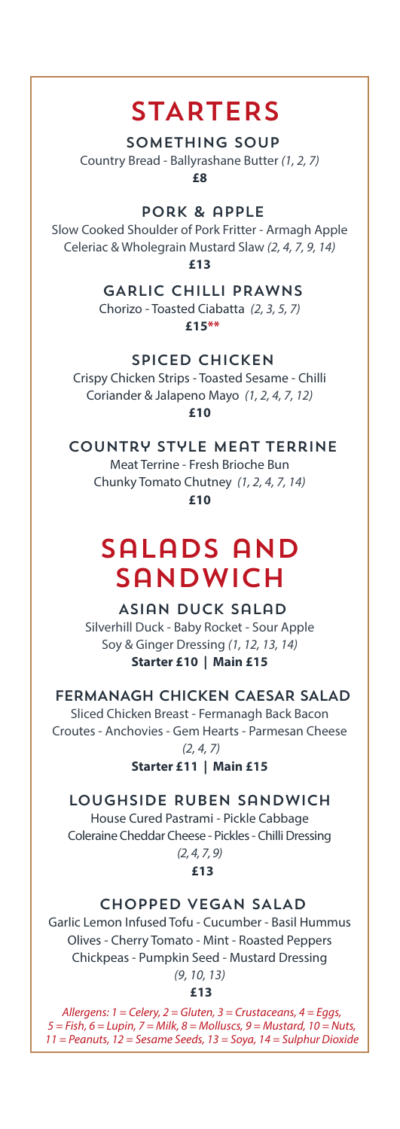### **STARTERS**

#### SOMETHING SOUP

Country Bread - Ballyrashane Butter *(1, 2, 7)*

**£8** 

pork & apple

Slow Cooked Shoulder of Pork Fritter - Armagh Apple Celeriac & Wholegrain Mustard Slaw *(2, 4, 7, 9, 14)* **£13** 

> GARLIC CHILLI PRAWNS Chorizo - Toasted Ciabatta *(2, 3, 5, 7)* **£15\*\***

### SPICED CHICKEN

Crispy Chicken Strips - Toasted Sesame - Chilli Coriander & Jalapeno Mayo *(1, 2, 4, 7, 12)* **£10**

Country Style Meat Terrine

Meat Terrine - Fresh Brioche Bun Chunky Tomato Chutney *(1, 2, 4, 7, 14)* **£10**

# Salads and **SANDWICH**

Asian Duck Salad Silverhill Duck - Baby Rocket - Sour Apple Soy & Ginger Dressing *(1, 12, 13, 14)* **Starter £10 | Main £15** 

FERMANAGH CHICKEN CAESAR SALAD

Sliced Chicken Breast - Fermanagh Back Bacon Croutes - Anchovies - Gem Hearts - Parmesan Cheese *(2, 4, 7)*

**Starter £11 | Main £15**

Loughside Ruben Sandwich House Cured Pastrami - Pickle Cabbage

Coleraine Cheddar Cheese - Pickles - Chilli Dressing *(2, 4, 7, 9)*

**£13**

### CHOPPED VEGAN SALAD

Garlic Lemon Infused Tofu - Cucumber - Basil Hummus Olives - Cherry Tomato - Mint - Roasted Peppers Chickpeas - Pumpkin Seed - Mustard Dressing *(9, 10, 13)*

 **£13**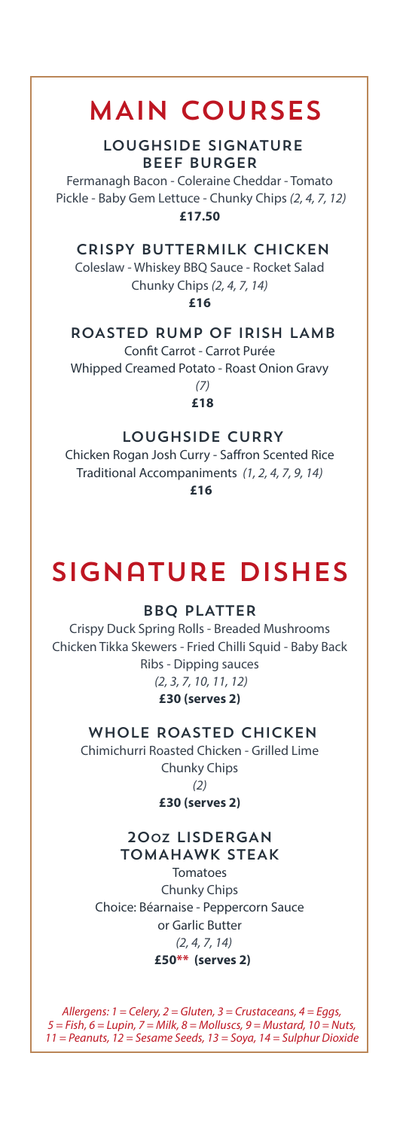## MAIN COURSES

LOUGHSIDE SIGNATURE BEEF BURGER

Fermanagh Bacon - Coleraine Cheddar - Tomato Pickle - Baby Gem Lettuce - Chunky Chips *(2, 4, 7, 12)* **£17.50** 

### CRISPY BUTTERMILK CHICKEN

Coleslaw - Whiskey BBQ Sauce - Rocket Salad Chunky Chips *(2, 4, 7, 14)*

**£16** 

### ROASTED RUMP OF IRISH LAMB

Confit Carrot - Carrot Purée

Whipped Creamed Potato - Roast Onion Gravy *(7)*

**£18** 

#### LOUGHSIDE CURRY

Chicken Rogan Josh Curry - Saffron Scented Rice Traditional Accompaniments *(1, 2, 4, 7, 9, 14)*  **£16**

# signature dishes

#### BBQ PLATTER

Crispy Duck Spring Rolls - Breaded Mushrooms Chicken Tikka Skewers - Fried Chilli Squid - Baby Back Ribs - Dipping sauces *(2, 3, 7, 10, 11, 12)* **£30 (serves 2)** 

### WHOLE ROASTED CHICKEN

Chimichurri Roasted Chicken - Grilled Lime Chunky Chips *(2)* **£30 (serves 2)** 

#### 20oz LISDERGAN TOMAHAWK STEAK

Tomatoes Chunky Chips Choice: Béarnaise - Peppercorn Sauce or Garlic Butter *(2, 4, 7, 14)* **£50\*\* (serves 2)**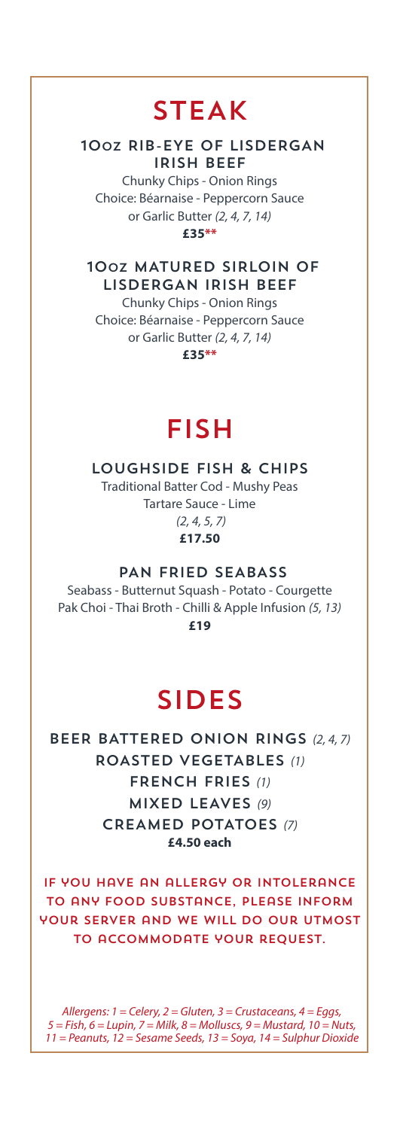### STEAK

### 10oz RIB-EYE OF LISDERGAN IRISH BEEF

Chunky Chips - Onion Rings Choice: Béarnaise - Peppercorn Sauce or Garlic Butter *(2, 4, 7, 14)* **£35\*\*** 

10oz MATURED SIRLOIN OF LISDERGAN IRISH BEEF

Chunky Chips - Onion Rings Choice: Béarnaise - Peppercorn Sauce or Garlic Butter *(2, 4, 7, 14)* **£35\*\*** 

### fish

LOUGHSIDE FISH & CHIPS

Traditional Batter Cod - Mushy Peas Tartare Sauce - Lime *(2, 4, 5, 7)* **£17.50** 

PAN FRIED SEABASS

Seabass - Butternut Squash - Potato - Courgette Pak Choi - Thai Broth - Chilli & Apple Infusion *(5, 13)* **£19**

### SIDES

BEER BATTERED ONION RINGS *(2, 4, 7)* ROASTED VEGETABLES *(1)* FRENCH FRIES *(1)* MIXED LEAVES *(9)* CREAMED POTATOES *(7)* **£4.50 each** 

If you have an allergy or intolerance to any food substance, please inform your server and we will do our utmost to accommodate your request.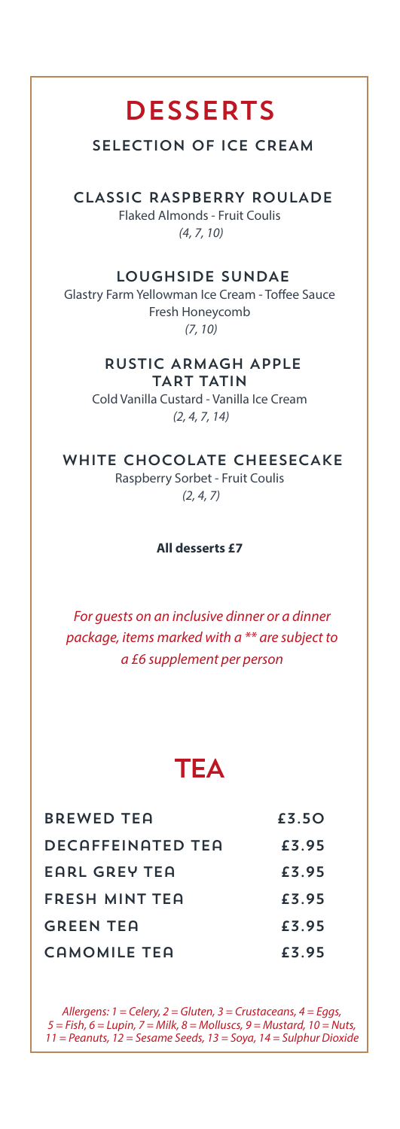### **DESSERTS**

### SELECTION OF ICE CREAM

CLASSIC RASPBERRY ROULADE Flaked Almonds - Fruit Coulis *(4, 7, 10)*

### LOUGHSIDE SUNDAE

Glastry Farm Yellowman Ice Cream - Toffee Sauce Fresh Honeycomb *(7, 10)*

### RUSTIC ARMAGH APPLE TART TATIN

Cold Vanilla Custard - Vanilla Ice Cream *(2, 4, 7, 14)*

### WHITE CHOCOLATE CHEESECAKE

Raspberry Sorbet - Fruit Coulis *(2, 4, 7)*

#### **All desserts £7**

*For guests on an inclusive dinner or a dinner package, items marked with a \*\* are subject to a £6 supplement per person*

### **TEA**

| <b>BREWED TEA</b>        | £3.50 |
|--------------------------|-------|
| <b>DECAFFEINATED TEA</b> | £3.95 |
| EARL GREY TEA            | £3.95 |
| FRESH MINT TEA           | £3.95 |
| <b>GREEN TEA</b>         | £3.95 |
| CAMOMILE TEA             | £3.95 |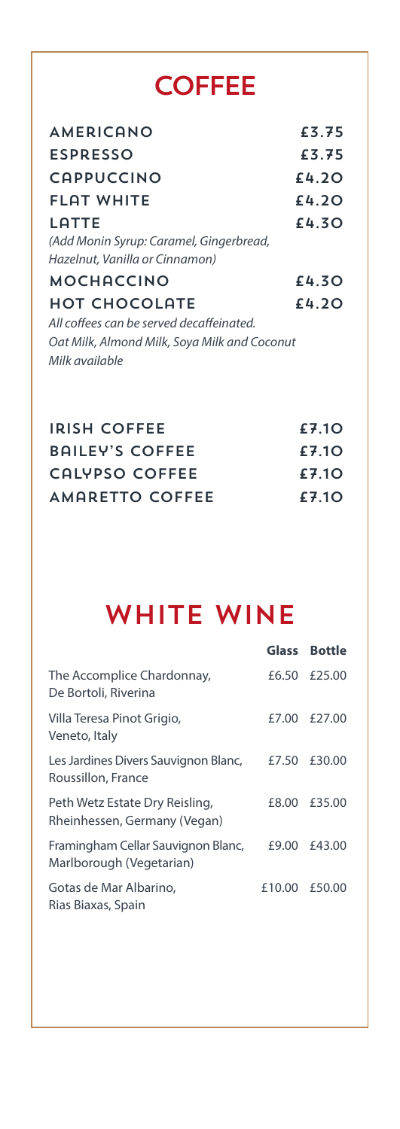# **COFFEE**

| <b>AMERICANO</b>                             | £3.75 |
|----------------------------------------------|-------|
| <b>ESPRESSO</b>                              | £3.75 |
| <b>CAPPUCCINO</b>                            | £4.2O |
| <b>FLAT WHITE</b>                            | £4.2O |
| LATTE                                        | £4.30 |
| (Add Monin Syrup: Caramel, Gingerbread,      |       |
| Hazelnut, Vanilla or Cinnamon)               |       |
| <b>MOCHACCINO</b>                            | £4.30 |
| <b>HOT CHOCOLATE</b>                         | £4.2O |
| All coffees can be served decaffeinated.     |       |
| Oat Milk, Almond Milk, Soya Milk and Coconut |       |
| Milk available                               |       |

| <b>IRISH COFFEE</b>    | £7.10 |
|------------------------|-------|
| <b>BAILEY'S COFFEE</b> | £7.10 |
| CALYPSO COFFEE         | £7.10 |
| AMARETTO COFFEE        | £7.10 |

# WHITE WINE

|                                                                | Glass Bottle  |
|----------------------------------------------------------------|---------------|
| The Accomplice Chardonnay,<br>De Bortoli, Riverina             | £6.50 £25.00  |
| Villa Teresa Pinot Grigio,<br>Veneto, Italy                    | £7.00 £27.00  |
| Les Jardines Divers Sauvignon Blanc,<br>Roussillon, France     | £7.50 £30.00  |
| Peth Wetz Estate Dry Reisling,<br>Rheinhessen, Germany (Vegan) | £8.00 £35.00  |
| Framingham Cellar Sauvignon Blanc,<br>Marlborough (Vegetarian) | £9.00 £43.00  |
| Gotas de Mar Albarino,<br>Rias Biaxas, Spain                   | £10.00 £50.00 |